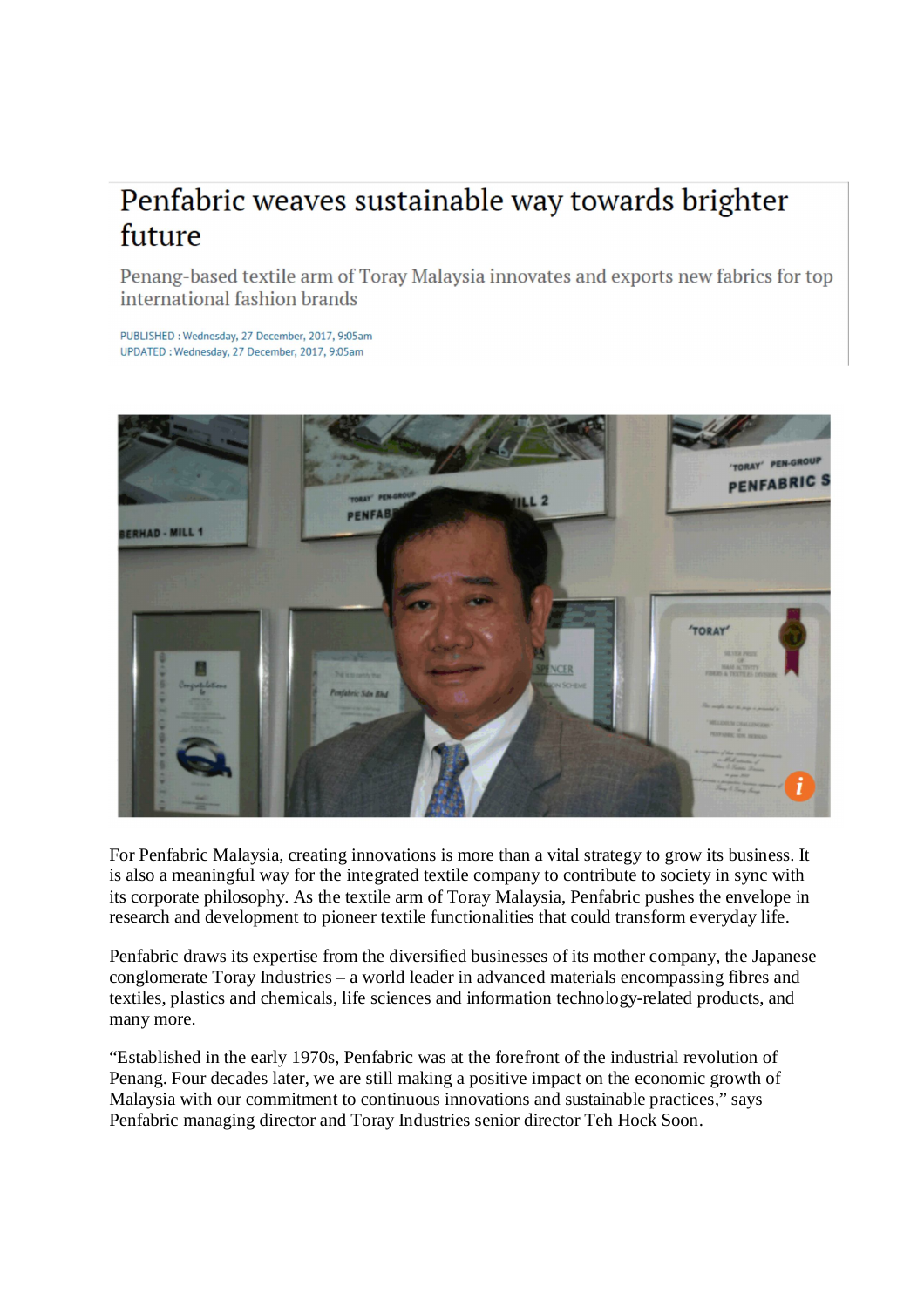## Penfabric weaves sustainable way towards brighter future

Penang-based textile arm of Toray Malaysia innovates and exports new fabrics for top international fashion brands

PUBLISHED: Wednesday, 27 December, 2017, 9:05am UPDATED : Wednesday, 27 December, 2017, 9:05am



For Penfabric Malaysia, creating innovations is more than a vital strategy to grow its business. It is also a meaningful way for the integrated textile company to contribute to society in sync with its corporate philosophy. As the textile arm of Toray Malaysia, Penfabric pushes the envelope in research and development to pioneer textile functionalities that could transform everyday life.

Penfabric draws its expertise from the diversified businesses of its mother company, the Japanese conglomerate Toray Industries – a world leader in advanced materials encompassing fibres and textiles, plastics and chemicals, life sciences and information technology-related products, and many more.

"Established in the early 1970s, Penfabric was at the forefront of the industrial revolution of Penang. Four decades later, we are still making a positive impact on the economic growth of Malaysia with our commitment to continuous innovations and sustainable practices," says Penfabric managing director and Toray Industries senior director Teh Hock Soon.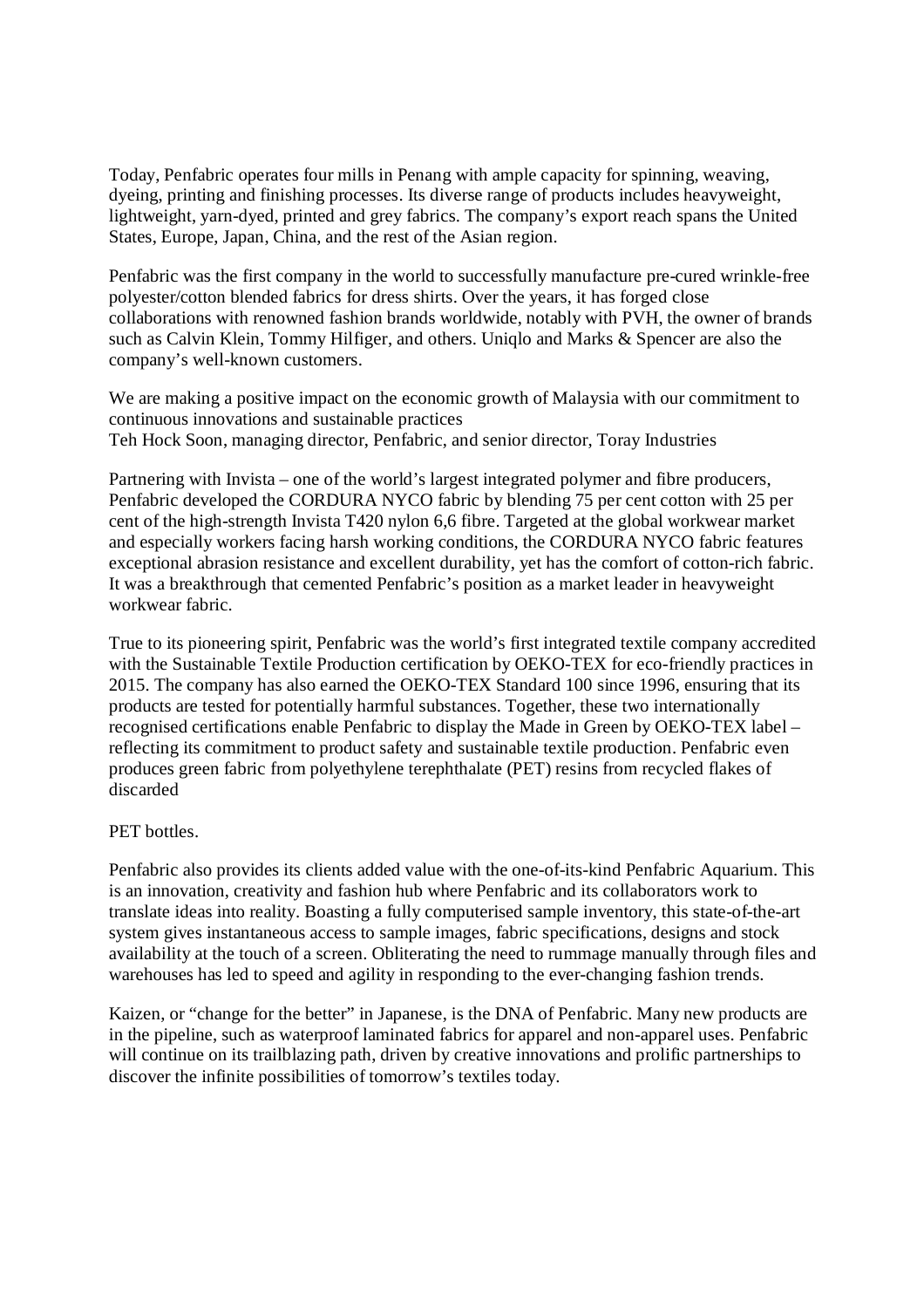Today, Penfabric operates four mills in Penang with ample capacity for spinning, weaving, dyeing, printing and finishing processes. Its diverse range of products includes heavyweight, lightweight, yarn-dyed, printed and grey fabrics. The company's export reach spans the United States, Europe, Japan, China, and the rest of the Asian region.

Penfabric was the first company in the world to successfully manufacture pre-cured wrinkle-free polyester/cotton blended fabrics for dress shirts. Over the years, it has forged close collaborations with renowned fashion brands worldwide, notably with PVH, the owner of brands such as Calvin Klein, Tommy Hilfiger, and others. Uniqlo and Marks & Spencer are also the company's well-known customers.

We are making a positive impact on the economic growth of Malaysia with our commitment to continuous innovations and sustainable practices Teh Hock Soon, managing director, Penfabric, and senior director, Toray Industries

Partnering with Invista – one of the world's largest integrated polymer and fibre producers, Penfabric developed the CORDURA NYCO fabric by blending 75 per cent cotton with 25 per cent of the high-strength Invista T420 nylon 6,6 fibre. Targeted at the global workwear market and especially workers facing harsh working conditions, the CORDURA NYCO fabric features exceptional abrasion resistance and excellent durability, yet has the comfort of cotton-rich fabric. It was a breakthrough that cemented Penfabric's position as a market leader in heavyweight workwear fabric.

True to its pioneering spirit, Penfabric was the world's first integrated textile company accredited with the Sustainable Textile Production certification by OEKO-TEX for eco-friendly practices in 2015. The company has also earned the OEKO-TEX Standard 100 since 1996, ensuring that its products are tested for potentially harmful substances. Together, these two internationally recognised certifications enable Penfabric to display the Made in Green by OEKO-TEX label – reflecting its commitment to product safety and sustainable textile production. Penfabric even produces green fabric from polyethylene terephthalate (PET) resins from recycled flakes of discarded

## PET bottles.

Penfabric also provides its clients added value with the one-of-its-kind Penfabric Aquarium. This is an innovation, creativity and fashion hub where Penfabric and its collaborators work to translate ideas into reality. Boasting a fully computerised sample inventory, this state-of-the-art system gives instantaneous access to sample images, fabric specifications, designs and stock availability at the touch of a screen. Obliterating the need to rummage manually through files and warehouses has led to speed and agility in responding to the ever-changing fashion trends.

Kaizen, or "change for the better" in Japanese, is the DNA of Penfabric. Many new products are in the pipeline, such as waterproof laminated fabrics for apparel and non-apparel uses. Penfabric will continue on its trailblazing path, driven by creative innovations and prolific partnerships to discover the infinite possibilities of tomorrow's textiles today.